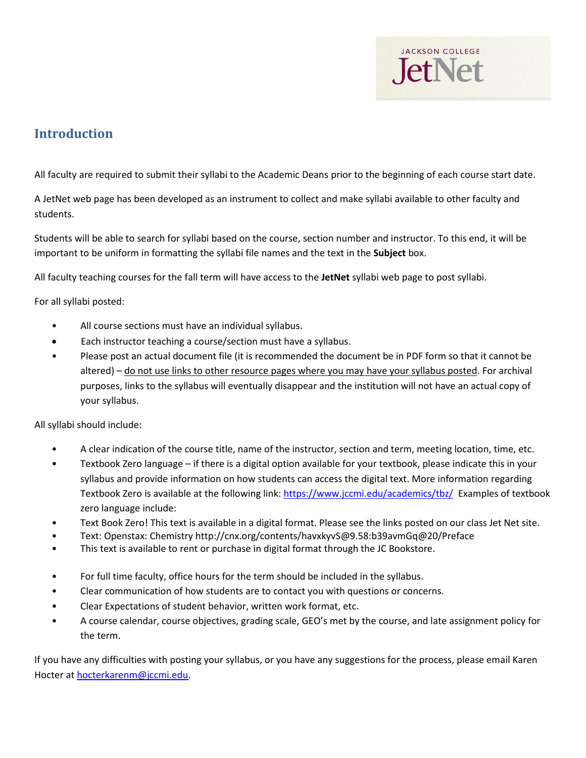

## **Introduction**

All faculty are required to submit their syllabi to the Academic Deans prior to the beginning of each course start date.

A JetNet web page has been developed as an instrument to collect and make syllabi available to other faculty and students.

Students will be able to search for syllabi based on the course, section number and instructor. To this end, it will be important to be uniform in formatting the syllabi file names and the text in the **Subject** box.

All faculty teaching courses for the fall term will have access to the **JetNet** syllabi web page to post syllabi.

For all syllabi posted:

- All course sections must have an individual syllabus.
- Each instructor teaching a course/section must have a syllabus.
- Please post an actual document file (it is recommended the document be in PDF form so that it cannot be altered) – do not use links to other resource pages where you may have your syllabus posted. For archival purposes, links to the syllabus will eventually disappear and the institution will not have an actual copy of your syllabus.

All syllabi should include:

- A clear indication of the course title, name of the instructor, section and term, meeting location, time, etc.
- Textbook Zero language if there is a digital option available for your textbook, please indicate this in your syllabus and provide information on how students can access the digital text. More information regarding Textbook Zero is available at the following link:<https://www.jccmi.edu/academics/tbz/> Examples of textbook zero language include:
- Text Book Zero! This text is available in a digital format. Please see the links posted on our class Jet Net site.
- Text: Openstax: Chemistry http://cnx.org/contents/havxkyvS@9.58:b39avmGq@20/Preface
- This text is available to rent or purchase in digital format through the JC Bookstore.
- For full time faculty, office hours for the term should be included in the syllabus.
- Clear communication of how students are to contact you with questions or concerns.
- Clear Expectations of student behavior, written work format, etc.
- A course calendar, course objectives, grading scale, GEO's met by the course, and late assignment policy for the term.

If you have any difficulties with posting your syllabus, or you have any suggestions for the process, please email Karen Hocter at [hocterkarenm@jccmi.edu.](mailto:hocterkarenm@jccmi.edu)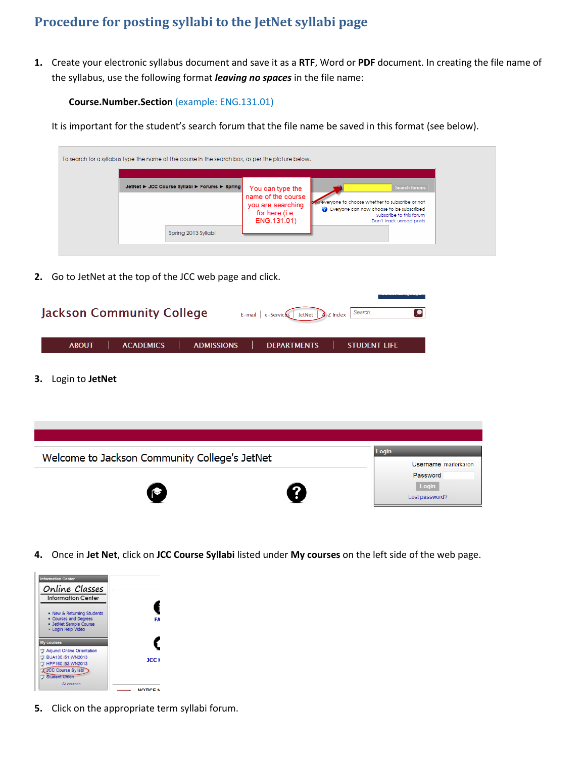## **Procedure for posting syllabi to the JetNet syllabi page**

**1.** Create your electronic syllabus document and save it as a **RTF**, Word or **PDF** document. In creating the file name of the syllabus, use the following format *leaving no spaces* in the file name:

## **Course.Number.Section** (example: ENG.131.01)

It is important for the student's search forum that the file name be saved in this format (see below).

| To search for a syllabus type the name of the course in the search box, as per the picture below. |                                                                                              |                                                                                                                                                                                 |
|---------------------------------------------------------------------------------------------------|----------------------------------------------------------------------------------------------|---------------------------------------------------------------------------------------------------------------------------------------------------------------------------------|
| JetNet ► JCC Course Syllabi ► Forums ► Spring                                                     | You can type the<br>name of the course<br>you are searching<br>for here (i.e.<br>ENG.131.01) | <b>Search forums</b><br>aws everyone to choose whether to subscribe or not<br>e Everyone can now choose to be subscribed<br>Subscribe to this forum<br>Don't track unread posts |
| Spring 2013 Syllabi                                                                               |                                                                                              |                                                                                                                                                                                 |

**2.** Go to JetNet at the top of the JCC web page and click.

| <b>Jackson Community College</b>                      | ---<br>E-mail e-Services JetNet $2$ -Z Index Search |
|-------------------------------------------------------|-----------------------------------------------------|
| <b>ACADEMICS</b><br><b>ABOUT</b><br><b>ADMISSIONS</b> | <b>DEPARTMENTS</b><br><b>STUDENT LIFE</b>           |

**3.** Login to **JetNet**



**4.** Once in **Jet Net**, click on **JCC Course Syllabi** listed under **My courses** on the left side of the web page.



**5.** Click on the appropriate term syllabi forum.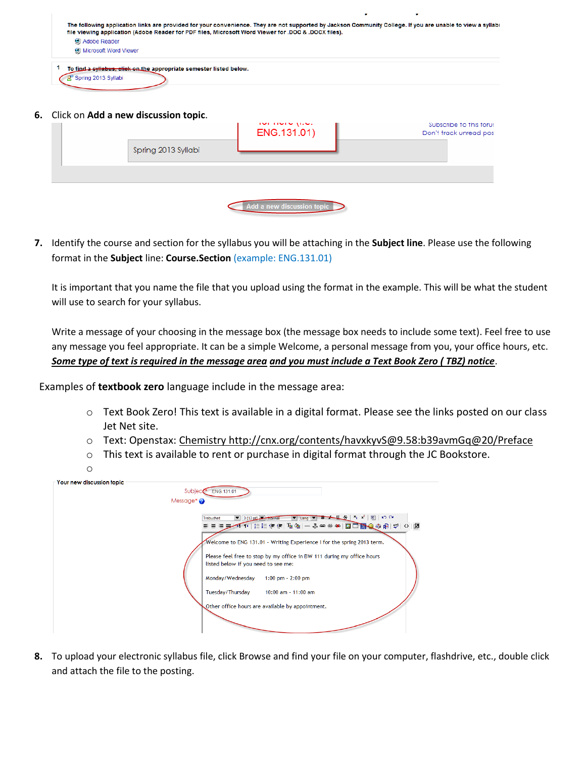| The following application links are provided for your convenience. They are not supported by Jackson Community College. If you are unable to view a syllabi<br>file viewing application (Adobe Reader for PDF files, Microsoft Word Viewer for .DOC & .DOCX files). |  |
|---------------------------------------------------------------------------------------------------------------------------------------------------------------------------------------------------------------------------------------------------------------------|--|
| <b>O</b> Adobe Reader                                                                                                                                                                                                                                               |  |
| <b>O</b> Microsoft Word Viewer                                                                                                                                                                                                                                      |  |
| To find a syllabus, click on the appropriate semester listed below.<br>Spring 2013 Syllabi                                                                                                                                                                          |  |

**6.** Click on **Add a new discussion topic**.

| CIICK OIT AUDI & HEW DISCUSSION LODIC. | indi india (i.a.<br>ENG.131.01) | Subscribe to this forur<br>Don't track unread pos |
|----------------------------------------|---------------------------------|---------------------------------------------------|
| Spring 2013 Syllabi                    |                                 |                                                   |
|                                        |                                 |                                                   |
|                                        | Add a new discussion topic      |                                                   |

**7.** Identify the course and section for the syllabus you will be attaching in the **Subject line**. Please use the following format in the **Subject** line: **Course.Section** (example: ENG.131.01)

It is important that you name the file that you upload using the format in the example. This will be what the student will use to search for your syllabus.

Write a message of your choosing in the message box (the message box needs to include some text). Feel free to use any message you feel appropriate. It can be a simple Welcome, a personal message from you, your office hours, etc. *Some type of text is required in the message area and you must include a Text Book Zero ( TBZ) notice*.

Examples of **textbook zero** language include in the message area:

- o Text Book Zero! This text is available in a digital format. Please see the links posted on our class Jet Net site.
- o Text: Openstax: Chemistry http://cnx.org/contents/havxkyvS@9.58:b39avmGq@20/Preface
- o This text is available to rent or purchase in digital format through the JC Bookstore.

|  |  | n a<br>۰.<br>×<br>× | I<br>I<br>۰.<br>۰. |
|--|--|---------------------|--------------------|
|--|--|---------------------|--------------------|

| our new discussion topic | ENG.131.01<br>Subject <sup>®</sup>                                                                                                                                                                                                                                                                                                                                                                                                                                        |
|--------------------------|---------------------------------------------------------------------------------------------------------------------------------------------------------------------------------------------------------------------------------------------------------------------------------------------------------------------------------------------------------------------------------------------------------------------------------------------------------------------------|
|                          | Message* $\bigcirc$                                                                                                                                                                                                                                                                                                                                                                                                                                                       |
|                          | $B - 1$ $S$ $x_2$ $ B $ $ C$<br>$\bullet$ 3 (12 pt) $\bullet$ Normal<br>Trebuchet<br>$\overline{}$<br>$L$ ang $\blacktriangledown$<br>Welcome to ENG 131.01 - Writing Experience I for the spring 2013 term.<br>Please feel free to stop by my office in BW 111 during my office hours<br>listed below if you need to see me:<br>Monday/Wednesday<br>1:00 pm $- 2:00$ pm<br>Tuesday/Thursday<br>$10:00$ am - 11:00 am<br>Other office hours are available by appointment. |

**8.** To upload your electronic syllabus file, click Browse and find your file on your computer, flashdrive, etc., double click and attach the file to the posting.